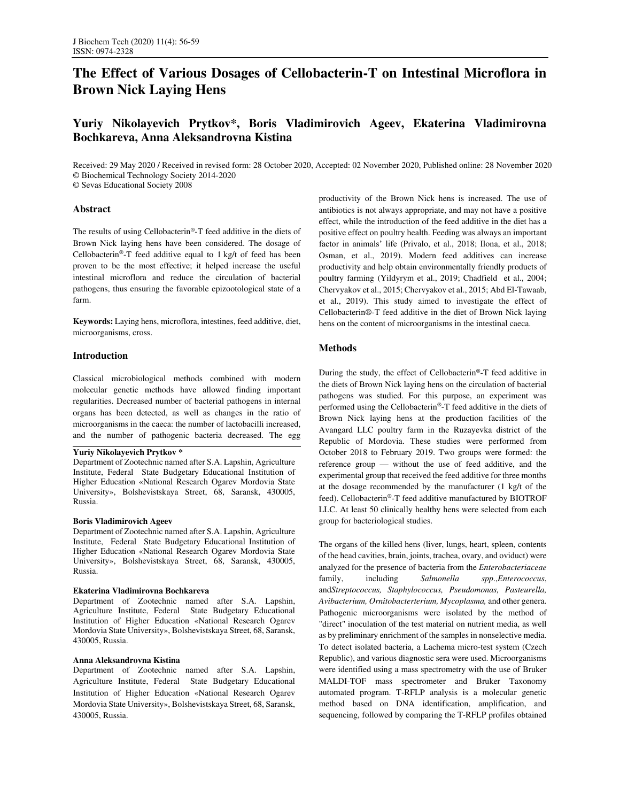# **The Effect of Various Dosages of Cellobacterin-T on Intestinal Microflora in Brown Nick Laying Hens**

## **Yuriy Nikolayevich Prytkov\*, Boris Vladimirovich Ageev, Ekaterina Vladimirovna Bochkareva, Anna Aleksandrovna Kistina**

Received: 29 May 2020 / Received in revised form: 28 October 2020, Accepted: 02 November 2020, Published online: 28 November 2020 © Biochemical Technology Society 2014-2020

© Sevas Educational Society 2008

## **Abstract**

The results of using Cellobacterin®-T feed additive in the diets of Brown Nick laying hens have been considered. The dosage of Cellobacterin<sup>®</sup>-T feed additive equal to  $1$  kg/t of feed has been proven to be the most effective; it helped increase the useful intestinal microflora and reduce the circulation of bacterial pathogens, thus ensuring the favorable epizootological state of a farm.

**Keywords:** Laying hens, microflora, intestines, feed additive, diet, microorganisms, cross.

#### **Introduction**

Classical microbiological methods combined with modern molecular genetic methods have allowed finding important regularities. Decreased number of bacterial pathogens in internal organs has been detected, as well as changes in the ratio of microorganisms in the caeca: the number of lactobacilli increased, and the number of pathogenic bacteria decreased. The egg

#### **Yuriy Nikolayevich Prytkov \***

Department of Zootechnic named after S.A. Lapshin, Agriculture Institute, Federal State Budgetary Educational Institution of Higher Education «National Research Ogarev Mordovia State University», Bolshevistskaya Street, 68, Saransk, 430005, Russia.

#### **Boris Vladimirovich Ageev**

Department of Zootechnic named after S.A. Lapshin, Agriculture Institute, Federal State Budgetary Educational Institution of Higher Education «National Research Ogarev Mordovia State University», Bolshevistskaya Street, 68, Saransk, 430005, Russia.

#### **Ekaterina Vladimirovna Bochkareva**

Department of Zootechnic named after S.A. Lapshin, Agriculture Institute, Federal State Budgetary Educational Institution of Higher Education «National Research Ogarev Mordovia State University», Bolshevistskaya Street, 68, Saransk, 430005, Russia.

#### **Anna Aleksandrovna Kistina**

Department of Zootechnic named after S.A. Lapshin, Agriculture Institute, Federal State Budgetary Educational Institution of Higher Education «National Research Ogarev Mordovia State University», Bolshevistskaya Street, 68, Saransk, 430005, Russia.

productivity of the Brown Nick hens is increased. The use of antibiotics is not always appropriate, and may not have a positive effect, while the introduction of the feed additive in the diet has a positive effect on poultry health. Feeding was always an important factor in animals' life (Privalo, et al., 2018; Ilona, et al., 2018; Osman, et al., 2019). Modern feed additives can increase productivity and help obtain environmentally friendly products of poultry farming (Yildyrym et al., 2019; Chadfield et al., 2004; Chervyakov et al., 2015; Chervyakov et al., 2015; Abd El-Tawaab, et al., 2019). This study aimed to investigate the effect of Cellobacterin®-T feed additive in the diet of Brown Nick laying hens on the content of microorganisms in the intestinal caeca.

### **Methods**

During the study, the effect of Cellobacterin®-T feed additive in the diets of Brown Nick laying hens on the circulation of bacterial pathogens was studied. For this purpose, an experiment was performed using the Cellobacterin®-T feed additive in the diets of Brown Nick laying hens at the production facilities of the Avangard LLC poultry farm in the Ruzayevka district of the Republic of Mordovia. These studies were performed from October 2018 to February 2019. Two groups were formed: the reference group — without the use of feed additive, and the experimental group that received the feed additive for three months at the dosage recommended by the manufacturer (1 kg/t of the feed). Cellobacterin®-T feed additive manufactured by BIOTROF LLC. At least 50 clinically healthy hens were selected from each group for bacteriological studies.

The organs of the killed hens (liver, lungs, heart, spleen, contents of the head cavities, brain, joints, trachea, ovary, and oviduct) were analyzed for the presence of bacteria from the *Enterobacteriaceae*  family, including *Salmonella spp*.,*Enterococcus*, and*Streptococcus, Staphylococcus, Pseudomonas, Pasteurella, Avibacterium, Ornitobacterterium, Mycoplasma,* and other genera. Pathogenic microorganisms were isolated by the method of "direct" inoculation of the test material on nutrient media, as well as by preliminary enrichment of the samples in nonselective media. To detect isolated bacteria, a Lachema micro-test system (Czech Republic), and various diagnostic sera were used. Microorganisms were identified using a mass spectrometry with the use of Bruker MALDI-TOF mass spectrometer and Bruker Taxonomy automated program. T-RFLP analysis is a molecular genetic method based on DNA identification, amplification, and sequencing, followed by comparing the T-RFLP profiles obtained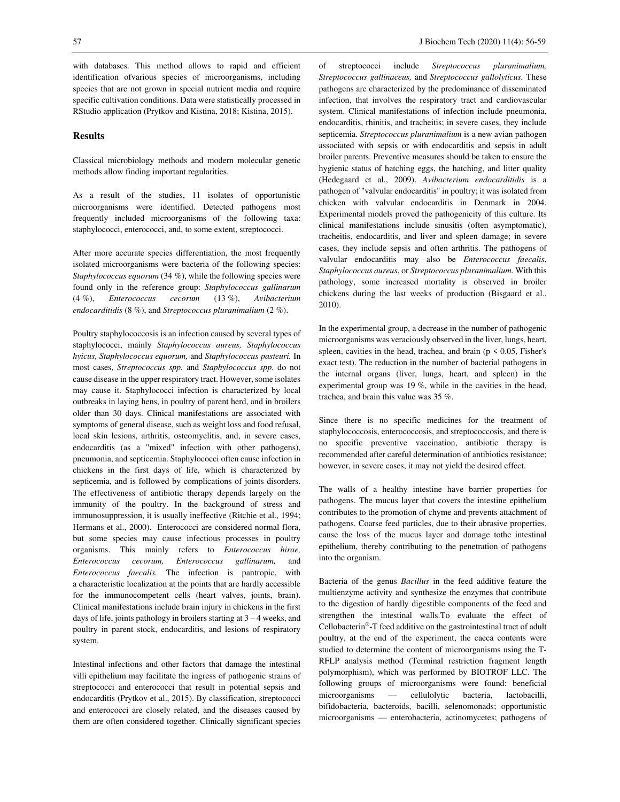with databases. This method allows to rapid and efficient identification ofvarious species of microorganisms, including species that are not grown in special nutrient media and require specific cultivation conditions. Data were statistically processed in RStudio application (Prytkov and Kistina, 2018; Kistina, 2015).

#### **Results**

Classical microbiology methods and modern molecular genetic methods allow finding important regularities.

As a result of the studies, 11 isolates of opportunistic microorganisms were identified. Detected pathogens most frequently included microorganisms of the following taxa: staphylococci, enterococci, and, to some extent, streptococci.

After more accurate species differentiation, the most frequently isolated microorganisms were bacteria of the following species: *Staphylococcus equorum* (34 %), while the following species were found only in the reference group: *Staphylococcus gallinarum*  (4 %), *Enterococcus cecorum* (13 %), *Avibacterium endocarditidis* (8 %), and *Streptococcus pluranimalium* (2 %).

Poultry staphylococcosis is an infection caused by several types of staphylococci, mainly *Staphylococcus aureus, Staphylococcus hyicus, Staphylococcus equorum,* and *Staphylococcus pasteuri.* In most cases, *Streptococcus spp.* and *Staphylococcus spp*. do not cause disease in the upper respiratory tract. However, some isolates may cause it. Staphylococci infection is characterized by local outbreaks in laying hens, in poultry of parent herd, and in broilers older than 30 days. Clinical manifestations are associated with symptoms of general disease, such as weight loss and food refusal, local skin lesions, arthritis, osteomyelitis, and, in severe cases, endocarditis (as a "mixed" infection with other pathogens), pneumonia, and septicemia. Staphylococci often cause infection in chickens in the first days of life, which is characterized by septicemia, and is followed by complications of joints disorders. The effectiveness of antibiotic therapy depends largely on the immunity of the poultry. In the background of stress and immunosuppression, it is usually ineffective (Ritchie et al., 1994; Hermans et al., 2000). Enterococci are considered normal flora, but some species may cause infectious processes in poultry organisms. This mainly refers to *Enterococcus hirae, Enterococcus cecorum, Enterococcus gallinarum,* and *Enterococcus faecalis.* The infection is pantropic, with a characteristic localization at the points that are hardly accessible for the immunocompetent cells (heart valves, joints, brain). Clinical manifestations include brain injury in chickens in the first days of life, joints pathology in broilers starting at 3 – 4 weeks, and poultry in parent stock, endocarditis, and lesions of respiratory system.

Intestinal infections and other factors that damage the intestinal villi epithelium may facilitate the ingress of pathogenic strains of streptococci and enterococci that result in potential sepsis and endocarditis (Prytkov et al., 2015). By classification, streptococci and enterococci are closely related, and the diseases caused by them are often considered together. Clinically significant species

of streptococci include *Streptococcus pluranimalium, Streptococcus gallinaceus,* and *Streptococcus gallolyticus.* These pathogens are characterized by the predominance of disseminated infection, that involves the respiratory tract and cardiovascular system. Clinical manifestations of infection include pneumonia, endocarditis, rhinitis, and tracheitis; in severe cases, they include septicemia. *Streptococcus pluranimalium* is a new avian pathogen associated with sepsis or with endocarditis and sepsis in adult broiler parents. Preventive measures should be taken to ensure the hygienic status of hatching eggs, the hatching, and litter quality (Hedegaard et al., 2009). *Avibacterium endocarditidis* is a pathogen of "valvular endocarditis" in poultry; it was isolated from chicken with valvular endocarditis in Denmark in 2004. Experimental models proved the pathogenicity of this culture. Its clinical manifestations include sinusitis (often asymptomatic), tracheitis, endocarditis, and liver and spleen damage; in severe cases, they include sepsis and often arthritis. The pathogens of valvular endocarditis may also be *Enterococcus faecalis*, *Staphylococcus aureus*, or *Streptococcus pluranimalium*. With this pathology, some increased mortality is observed in broiler chickens during the last weeks of production (Bisgaard et al., 2010).

In the experimental group, a decrease in the number of pathogenic microorganisms was veraciously observed in the liver, lungs, heart, spleen, cavities in the head, trachea, and brain ( $p \le 0.05$ , Fisher's exact test). The reduction in the number of bacterial pathogens in the internal organs (liver, lungs, heart, and spleen) in the experimental group was 19 %, while in the cavities in the head, trachea, and brain this value was 35 %.

Since there is no specific medicines for the treatment of staphylococcosis, enterococcosis, and streptococcosis, and there is no specific preventive vaccination, antibiotic therapy is recommended after careful determination of antibiotics resistance; however, in severe cases, it may not yield the desired effect.

The walls of a healthy intestine have barrier properties for pathogens. The mucus layer that covers the intestine epithelium contributes to the promotion of chyme and prevents attachment of pathogens. Coarse feed particles, due to their abrasive properties, cause the loss of the mucus layer and damage tothe intestinal epithelium, thereby contributing to the penetration of pathogens into the organism.

Bacteria of the genus *Bacillus* in the feed additive feature the multienzyme activity and synthesize the enzymes that contribute to the digestion of hardly digestible components of the feed and strengthen the intestinal walls.To evaluate the effect of Cellobacterin®-T feed additive on the gastrointestinal tract of adult poultry, at the end of the experiment, the caeca contents were studied to determine the content of microorganisms using the T-RFLP analysis method (Terminal restriction fragment length polymorphism), which was performed by BIOTROF LLC. The following groups of microorganisms were found: beneficial microorganisms — cellulolytic bacteria, lactobacilli, bifidobacteria, bacteroids, bacilli, selenomonads; opportunistic microorganisms — enterobacteria, actinomycetes; pathogens of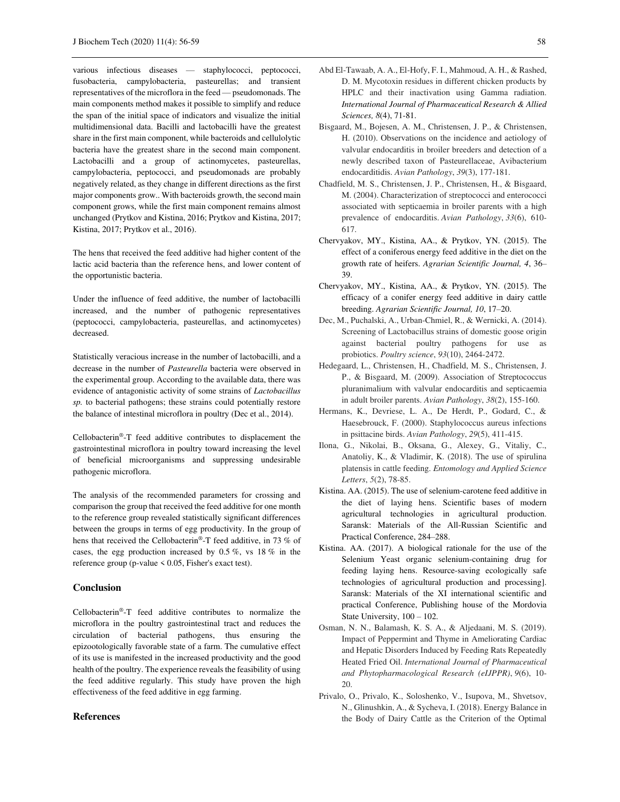various infectious diseases — staphylococci, peptococci, fusobacteria, campylobacteria, pasteurellas; and transient representatives of the microflora in the feed — pseudomonads. The main components method makes it possible to simplify and reduce the span of the initial space of indicators and visualize the initial multidimensional data. Bacilli and lactobacilli have the greatest share in the first main component, while bacteroids and cellulolytic bacteria have the greatest share in the second main component. Lactobacilli and a group of actinomycetes, pasteurellas, campylobacteria, peptococci, and pseudomonads are probably negatively related, as they change in different directions as the first major components grow.. With bacteroids growth, the second main component grows, while the first main component remains almost unchanged (Prytkov and Kistina, 2016; Prytkov and Kistina, 2017; Kistina, 2017; Prytkov et al., 2016).

The hens that received the feed additive had higher content of the lactic acid bacteria than the reference hens, and lower content of the opportunistic bacteria.

Under the influence of feed additive, the number of lactobacilli increased, and the number of pathogenic representatives (peptococci, campylobacteria, pasteurellas, and actinomycetes) decreased.

Statistically veracious increase in the number of lactobacilli, and a decrease in the number of *Pasteurella* bacteria were observed in the experimental group. According to the available data, there was evidence of antagonistic activity of some strains of *Lactobacillus sp.* to bacterial pathogens; these strains could potentially restore the balance of intestinal microflora in poultry (Dec et al., 2014).

Cellobacterin®-T feed additive contributes to displacement the gastrointestinal microflora in poultry toward increasing the level of beneficial microorganisms and suppressing undesirable pathogenic microflora.

The analysis of the recommended parameters for crossing and comparison the group that received the feed additive for one month to the reference group revealed statistically significant differences between the groups in terms of egg productivity. In the group of hens that received the Cellobacterin®-T feed additive, in 73 % of cases, the egg production increased by 0.5 %, vs 18 % in the reference group (p-value < 0.05, Fisher's exact test).

#### **Conclusion**

Cellobacterin®-T feed additive contributes to normalize the microflora in the poultry gastrointestinal tract and reduces the circulation of bacterial pathogens, thus ensuring the epizootologically favorable state of a farm. The cumulative effect of its use is manifested in the increased productivity and the good health of the poultry. The experience reveals the feasibility of using the feed additive regularly. This study have proven the high effectiveness of the feed additive in egg farming.

#### **References**

- Abd El-Tawaab, A. A., El-Hofy, F. I., Mahmoud, A. H., & Rashed, D. M. Mycotoxin residues in different chicken products by HPLC and their inactivation using Gamma radiation. *International Journal of Pharmaceutical Research & Allied Sciences, 8*(4), 71-81.
- Bisgaard, M., Bojesen, A. M., Christensen, J. P., & Christensen, H. (2010). Observations on the incidence and aetiology of valvular endocarditis in broiler breeders and detection of a newly described taxon of Pasteurellaceae, Avibacterium endocarditidis. *Avian Pathology*, *39*(3), 177-181.
- Chadfield, M. S., Christensen, J. P., Christensen, H., & Bisgaard, M. (2004). Characterization of streptococci and enterococci associated with septicaemia in broiler parents with a high prevalence of endocarditis. *Avian Pathology*, *33*(6), 610- 617.
- Chervyakov, MY., Kistina, AA., & Prytkov, YN. (2015). The effect of a coniferous energy feed additive in the diet on the growth rate of heifers. *Agrarian Scientific Journal, 4*, 36– 39.
- Chervyakov, MY., Kistina, AA., & Prytkov, YN. (2015). The efficacy of a conifer energy feed additive in dairy cattle breeding. *Agrarian Scientific Journal, 10*, 17–20.
- Dec, M., Puchalski, A., Urban-Chmiel, R., & Wernicki, A. (2014). Screening of Lactobacillus strains of domestic goose origin against bacterial poultry pathogens for use as probiotics. *Poultry science*, *93*(10), 2464-2472.
- Hedegaard, L., Christensen, H., Chadfield, M. S., Christensen, J. P., & Bisgaard, M. (2009). Association of Streptococcus pluranimalium with valvular endocarditis and septicaemia in adult broiler parents. *Avian Pathology*, *38*(2), 155-160.
- Hermans, K., Devriese, L. A., De Herdt, P., Godard, C., & Haesebrouck, F. (2000). Staphylococcus aureus infections in psittacine birds. *Avian Pathology*, *29*(5), 411-415.
- Ilona, G., Nikolai, B., Oksana, G., Alexey, G., Vitaliy, C., Anatoliy, K., & Vladimir, K. (2018). The use of spirulina platensis in cattle feeding. *Entomology and Applied Science Letters*, *5*(2), 78-85.
- Kistina. AA. (2015). The use of selenium-carotene feed additive in the diet of laying hens. Scientific bases of modern agricultural technologies in agricultural production. Saransk: Materials of the All-Russian Scientific and Practical Conference, 284–288.
- Kistina. AA. (2017). A biological rationale for the use of the Selenium Yeast organic selenium-containing drug for feeding laying hens. Resource-saving ecologically safe technologies of agricultural production and processing]. Saransk: Materials of the XI international scientific and practical Conference, Publishing house of the Mordovia State University, 100 – 102.
- Osman, N. N., Balamash, K. S. A., & Aljedaani, M. S. (2019). Impact of Peppermint and Thyme in Ameliorating Cardiac and Hepatic Disorders Induced by Feeding Rats Repeatedly Heated Fried Oil. *International Journal of Pharmaceutical and Phytopharmacological Research (eIJPPR)*, *9*(6), 10- 20.
- Privalo, O., Privalo, K., Soloshenko, V., Isupova, M., Shvetsov, N., Glinushkin, A., & Sycheva, I. (2018). Energy Balance in the Body of Dairy Cattle as the Criterion of the Optimal